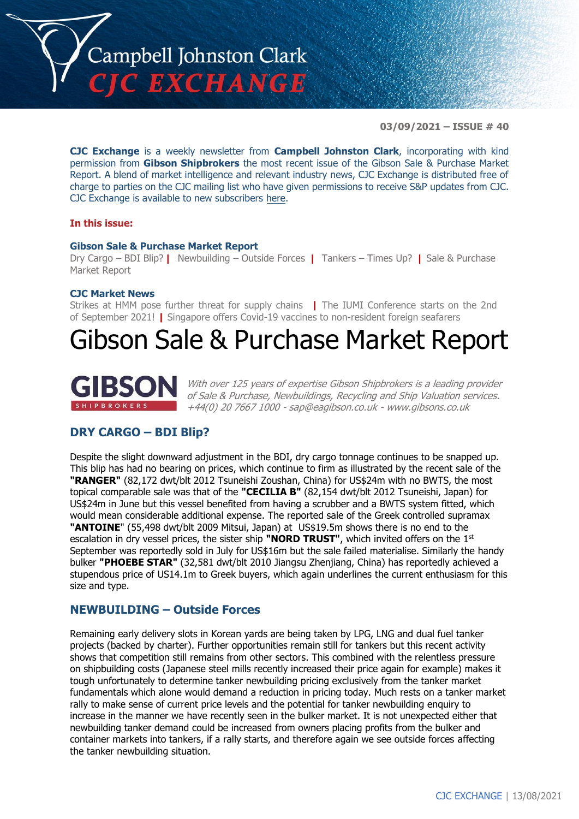

**03/09/2021 – ISSUE # 40**

**CJC Exchange** is a weekly newsletter from **Campbell Johnston Clark**, incorporating with kind permission from **Gibson Shipbrokers** the most recent issue of the Gibson Sale & Purchase Market Report. A blend of market intelligence and relevant industry news, CJC Exchange is distributed free of charge to parties on the CJC mailing list who have given permissions to receive S&P updates from CJC. CJC Exchange is available to new subscribers here.

#### **In this issue:**

#### **Gibson Sale & Purchase Market Report**

Dry Cargo – BDI Blip? **|** Newbuilding – Outside Forces **|** Tankers – Times Up? **|** Sale & Purchase Market Report

#### **CJC Market News**

Strikes at HMM pose further threat for supply chains **|** The IUMI Conference starts on the 2nd of September 2021! **|** Singapore offers Covid-19 vaccines to non-resident foreign seafarers

# Gibson Sale & Purchase Market Report



With over 125 years of expertise Gibson Shipbrokers is a leading provider of Sale & Purchase, Newbuildings, Recycling and Ship Valuation services. +44(0) 20 7667 1000 - sap@eagibson.co.uk - www.gibsons.co.uk

# **DRY CARGO – BDI Blip?**

Despite the slight downward adjustment in the BDI, dry cargo tonnage continues to be snapped up. This blip has had no bearing on prices, which continue to firm as illustrated by the recent sale of the **"RANGER"** (82,172 dwt/blt 2012 Tsuneishi Zoushan, China) for US\$24m with no BWTS, the most topical comparable sale was that of the **"CECILIA B"** (82,154 dwt/blt 2012 Tsuneishi, Japan) for US\$24m in June but this vessel benefited from having a scrubber and a BWTS system fitted, which would mean considerable additional expense. The reported sale of the Greek controlled supramax **"ANTOINE**" (55,498 dwt/blt 2009 Mitsui, Japan) at US\$19.5m shows there is no end to the escalation in dry vessel prices, the sister ship **"NORD TRUST"**, which invited offers on the 1st September was reportedly sold in July for US\$16m but the sale failed materialise. Similarly the handy bulker **"PHOEBE STAR"** (32,581 dwt/blt 2010 Jiangsu Zhenjiang, China) has reportedly achieved a stupendous price of US14.1m to Greek buyers, which again underlines the current enthusiasm for this size and type.

## **NEWBUILDING – Outside Forces**

Remaining early delivery slots in Korean yards are being taken by LPG, LNG and dual fuel tanker projects (backed by charter). Further opportunities remain still for tankers but this recent activity shows that competition still remains from other sectors. This combined with the relentless pressure on shipbuilding costs (Japanese steel mills recently increased their price again for example) makes it tough unfortunately to determine tanker newbuilding pricing exclusively from the tanker market fundamentals which alone would demand a reduction in pricing today. Much rests on a tanker market rally to make sense of current price levels and the potential for tanker newbuilding enquiry to increase in the manner we have recently seen in the bulker market. It is not unexpected either that newbuilding tanker demand could be increased from owners placing profits from the bulker and container markets into tankers, if a rally starts, and therefore again we see outside forces affecting the tanker newbuilding situation.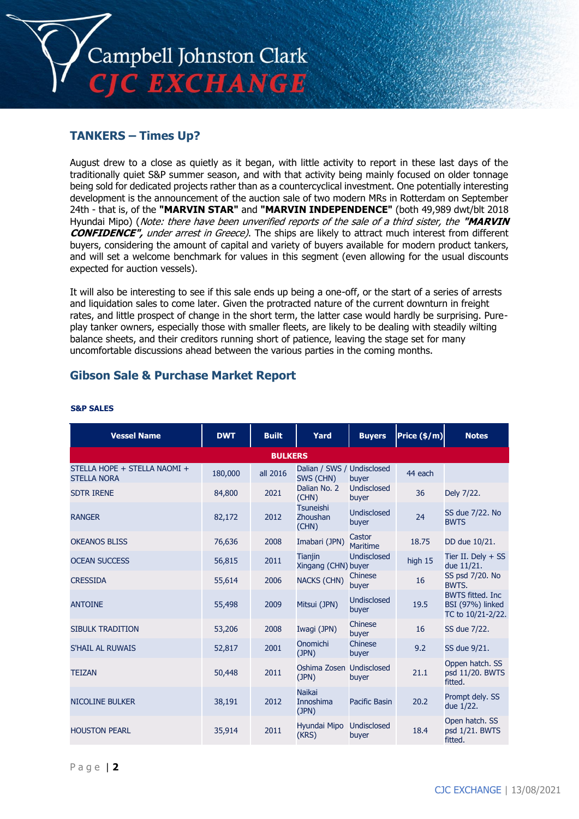

# **TANKERS – Times Up?**

August drew to a close as quietly as it began, with little activity to report in these last days of the traditionally quiet S&P summer season, and with that activity being mainly focused on older tonnage being sold for dedicated projects rather than as a countercyclical investment. One potentially interesting development is the announcement of the auction sale of two modern MRs in Rotterdam on September 24th - that is, of the **"MARVIN STAR"** and **"MARVIN INDEPENDENCE"** (both 49,989 dwt/blt 2018 Hyundai Mipo) (Note: there have been unverified reports of the sale of a third sister, the **"MARVIN CONFIDENCE"**, under arrest in Greece). The ships are likely to attract much interest from different buyers, considering the amount of capital and variety of buyers available for modern product tankers, and will set a welcome benchmark for values in this segment (even allowing for the usual discounts expected for auction vessels).

It will also be interesting to see if this sale ends up being a one-off, or the start of a series of arrests and liquidation sales to come later. Given the protracted nature of the current downturn in freight rates, and little prospect of change in the short term, the latter case would hardly be surprising. Pureplay tanker owners, especially those with smaller fleets, are likely to be dealing with steadily wilting balance sheets, and their creditors running short of patience, leaving the stage set for many uncomfortable discussions ahead between the various parties in the coming months.

# **Gibson Sale & Purchase Market Report**

| <b>Vessel Name</b>                                 | <b>DWT</b> | <b>Built</b> | Yard                                    | <b>Buyers</b>               | Price $(\frac{2}{3}$ /m) | <b>Notes</b>                                                     |  |  |
|----------------------------------------------------|------------|--------------|-----------------------------------------|-----------------------------|--------------------------|------------------------------------------------------------------|--|--|
| <b>BULKERS</b>                                     |            |              |                                         |                             |                          |                                                                  |  |  |
| STELLA HOPE + STELLA NAOMI +<br><b>STELLA NORA</b> | 180,000    | all 2016     | Dalian / SWS / Undisclosed<br>SWS (CHN) | buyer                       | 44 each                  |                                                                  |  |  |
| <b>SDTR IRENE</b>                                  | 84,800     | 2021         | Dalian No. 2<br>(CHN)                   | Undisclosed<br>buyer        | 36                       | Dely 7/22.                                                       |  |  |
| <b>RANGER</b>                                      | 82,172     | 2012         | <b>Tsuneishi</b><br>Zhoushan<br>(CHN)   | <b>Undisclosed</b><br>buyer | 24                       | SS due 7/22. No<br><b>BWTS</b>                                   |  |  |
| <b>OKEANOS BLISS</b>                               | 76,636     | 2008         | Imabari (JPN)                           | Castor<br><b>Maritime</b>   | 18.75                    | DD due 10/21.                                                    |  |  |
| <b>OCEAN SUCCESS</b>                               | 56,815     | 2011         | <b>Tianjin</b><br>Xingang (CHN) buyer   | <b>Undisclosed</b>          | high 15                  | Tier II. Dely $+$ SS<br>due 11/21.                               |  |  |
| <b>CRESSIDA</b>                                    | 55,614     | 2006         | <b>NACKS (CHN)</b>                      | Chinese<br>buyer            | 16                       | SS psd 7/20. No<br>BWTS.                                         |  |  |
| <b>ANTOINE</b>                                     | 55,498     | 2009         | Mitsui (JPN)                            | Undisclosed<br>buyer        | 19.5                     | <b>BWTS fitted. Inc</b><br>BSI (97%) linked<br>TC to 10/21-2/22. |  |  |
| <b>SIBULK TRADITION</b>                            | 53,206     | 2008         | Iwagi (JPN)                             | Chinese<br>buyer            | 16                       | SS due 7/22.                                                     |  |  |
| S'HAIL AL RUWAIS                                   | 52,817     | 2001         | Onomichi<br>(JPN)                       | Chinese<br>buyer            | 9.2                      | SS due 9/21.                                                     |  |  |
| <b>TEIZAN</b>                                      | 50,448     | 2011         | Oshima Zosen Undisclosed<br>(JPN)       | buyer                       | 21.1                     | Oppen hatch. SS<br>psd 11/20. BWTS<br>fitted.                    |  |  |
| <b>NICOLINE BULKER</b>                             | 38,191     | 2012         | <b>Naikai</b><br>Innoshima<br>(JPN)     | <b>Pacific Basin</b>        | 20.2                     | Prompt dely. SS<br>due 1/22.                                     |  |  |
| <b>HOUSTON PEARL</b>                               | 35,914     | 2011         | Hyundai Mipo<br>(KRS)                   | Undisclosed<br>buyer        | 18.4                     | Open hatch. SS<br>psd 1/21. BWTS<br>fitted.                      |  |  |

#### **S&P SALES**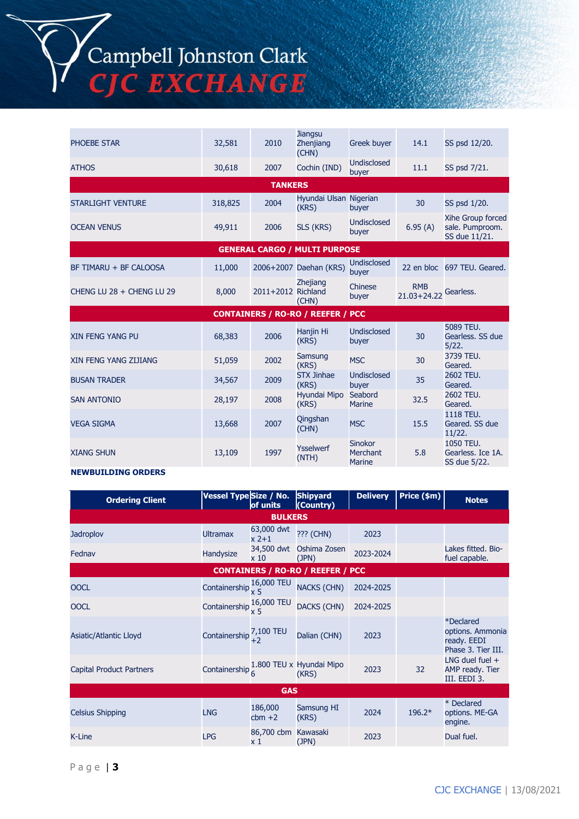# Campbell Johnston Clark<br>CJC EXCHANGE

| <b>PHOEBE STAR</b>                       | 32,581  | 2010               | <b>Jiangsu</b><br>Zhenjiang<br>(CHN) | <b>Greek buyer</b>                          | 14.1                          | SS psd 12/20.                                         |  |  |  |
|------------------------------------------|---------|--------------------|--------------------------------------|---------------------------------------------|-------------------------------|-------------------------------------------------------|--|--|--|
| <b>ATHOS</b>                             | 30,618  | 2007               | Cochin (IND)                         | <b>Undisclosed</b><br>buyer                 | 11.1                          | SS psd 7/21.                                          |  |  |  |
| <b>TANKERS</b>                           |         |                    |                                      |                                             |                               |                                                       |  |  |  |
| <b>STARLIGHT VENTURE</b>                 | 318,825 | 2004               | Hyundai Ulsan Nigerian<br>(KRS)      | buyer                                       | 30                            | SS psd 1/20.                                          |  |  |  |
| <b>OCEAN VENUS</b>                       | 49,911  | 2006               | SLS (KRS)                            | <b>Undisclosed</b><br>buyer                 | 6.95(A)                       | Xihe Group forced<br>sale. Pumproom.<br>SS due 11/21. |  |  |  |
|                                          |         |                    | <b>GENERAL CARGO / MULTI PURPOSE</b> |                                             |                               |                                                       |  |  |  |
| BF TIMARU + BF CALOOSA                   | 11,000  |                    | 2006+2007 Daehan (KRS)               | Undisclosed<br>buyer                        |                               | 22 en bloc 697 TEU. Geared.                           |  |  |  |
| CHENG LU 28 + CHENG LU 29                | 8,000   | 2011+2012 Richland | <b>Zhejiang</b><br>(CHN)             | Chinese<br>buyer                            | <b>RMB</b><br>$21.03 + 24.22$ | Gearless.                                             |  |  |  |
| <b>CONTAINERS / RO-RO / REEFER / PCC</b> |         |                    |                                      |                                             |                               |                                                       |  |  |  |
| <b>XIN FENG YANG PU</b>                  | 68,383  | 2006               | Hanjin Hi<br>(KRS)                   | <b>Undisclosed</b><br>buyer                 | 30                            | 5089 TEU.<br>Gearless. SS due<br>5/22.                |  |  |  |
| XIN FENG YANG ZIJIANG                    | 51.059  | 2002               | Samsung<br>(KRS)                     | <b>MSC</b>                                  | 30                            | 3739 TEU.<br>Geared.                                  |  |  |  |
| <b>BUSAN TRADER</b>                      | 34,567  | 2009               | <b>STX Jinhae</b><br>(KRS)           | <b>Undisclosed</b><br>buyer                 | 35                            | 2602 TEU.<br>Geared.                                  |  |  |  |
| <b>SAN ANTONIO</b>                       | 28,197  | 2008               | Hyundai Mipo<br>(KRS)                | Seabord<br><b>Marine</b>                    | 32.5                          | 2602 TEU.<br>Geared.                                  |  |  |  |
| <b>VEGA SIGMA</b>                        | 13,668  | 2007               | Qingshan<br>(CHN)                    | <b>MSC</b>                                  | 15.5                          | 1118 TEU.<br>Geared. SS due<br>11/22.                 |  |  |  |
| <b>XIANG SHUN</b>                        | 13,109  | 1997               | <b>Ysselwerf</b><br>(NTH)            | <b>Sinokor</b><br>Merchant<br><b>Marine</b> | 5.8                           | 1050 TEU.<br>Gearless. Ice 1A.<br>SS due 5/22.        |  |  |  |

#### **NEWBUILDING ORDERS**

| <b>Ordering Client</b>   | Vessel Type Size / No.        | of units              | <b>Shipyard</b><br>(Country)             | <b>Delivery</b> | Price (\$m) | <b>Notes</b>                                                       |  |
|--------------------------|-------------------------------|-----------------------|------------------------------------------|-----------------|-------------|--------------------------------------------------------------------|--|
|                          |                               | <b>BULKERS</b>        |                                          |                 |             |                                                                    |  |
| <b>Jadroplov</b>         | <b>Ultramax</b>               | 63,000 dwt<br>$x$ 2+1 | ??? (CHN)                                | 2023            |             |                                                                    |  |
| Fednav                   | Handysize                     | 34,500 dwt<br>x10     | Oshima Zosen<br>(JPN)                    | 2023-2024       |             | Lakes fitted. Bio-<br>fuel capable.                                |  |
|                          |                               |                       | <b>CONTAINERS / RO-RO / REEFER / PCC</b> |                 |             |                                                                    |  |
| <b>OOCL</b>              | Containership $\frac{1}{x}$ 5 | 16,000 TEU            | <b>NACKS (CHN)</b>                       | 2024-2025       |             |                                                                    |  |
| <b>OOCL</b>              | Containership $\frac{10}{x}$  | 16,000 TEU            | <b>DACKS (CHN)</b>                       | 2024-2025       |             |                                                                    |  |
| Asiatic/Atlantic Lloyd   | Containership <sup>"</sup>    | 7,100 TEU             | Dalian (CHN)                             | 2023            |             | *Declared<br>options. Ammonia<br>ready. EEDI<br>Phase 3. Tier III. |  |
| Capital Product Partners | Containership $\frac{1}{6}$   |                       | 1.800 TEU x Hyundai Mipo<br>(KRS)        | 2023            | 32          | LNG duel fuel $+$<br>AMP ready. Tier<br>III. EEDI 3.               |  |
| <b>GAS</b>               |                               |                       |                                          |                 |             |                                                                    |  |
| <b>Celsius Shipping</b>  | <b>LNG</b>                    | 186,000<br>$cbm +2$   | Samsung HI<br>(KRS)                      | 2024            | $196.2*$    | * Declared<br>options. ME-GA<br>engine.                            |  |
| <b>K-Line</b>            | <b>LPG</b>                    | 86,700 cbm<br>x 1     | Kawasaki<br>(JPN)                        | 2023            |             | Dual fuel.                                                         |  |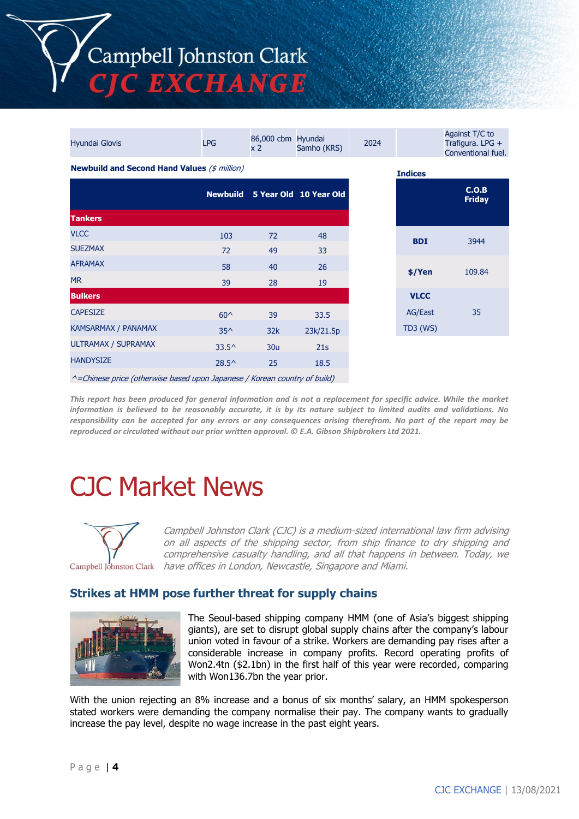# Campbell Johnston Clark C EXCHANGE

| <b>Hyundai Glovis</b>                               | <b>LPG</b>      | 86,000 cbm Hyundai<br>x <sub>2</sub> | Samho (KRS)            | 2024 |                 | Against T/C to<br>Trafigura. LPG +<br>Conventional fuel. |
|-----------------------------------------------------|-----------------|--------------------------------------|------------------------|------|-----------------|----------------------------------------------------------|
| <b>Newbuild and Second Hand Values (\$ million)</b> |                 | <b>Indices</b>                       |                        |      |                 |                                                          |
|                                                     | <b>Newbuild</b> |                                      | 5 Year Old 10 Year Old |      |                 | C.O.B<br><b>Friday</b>                                   |
| <b>Tankers</b>                                      |                 |                                      |                        |      |                 |                                                          |
| <b>VLCC</b>                                         | 103             | 72                                   | 48                     |      | <b>BDI</b>      | 3944                                                     |
| <b>SUEZMAX</b>                                      | 72              | 49                                   | 33                     |      |                 |                                                          |
| <b>AFRAMAX</b>                                      | 58              | 40                                   | 26                     |      |                 | 109.84                                                   |
| <b>MR</b>                                           | 39              | 28                                   | 19                     |      | \$/Yen          |                                                          |
| <b>Bulkers</b>                                      |                 |                                      |                        |      | <b>VLCC</b>     |                                                          |
| <b>CAPESIZE</b>                                     | $60^{\circ}$    | 39                                   | 33.5                   |      | AG/East         | 35                                                       |
| KAMSARMAX / PANAMAX                                 | $35^{\wedge}$   | 32k                                  | 23k/21.5p              |      | <b>TD3 (WS)</b> |                                                          |
| <b>ULTRAMAX / SUPRAMAX</b>                          | $33.5^{\circ}$  | 30 <sub>u</sub>                      | 21s                    |      |                 |                                                          |
| <b>HANDYSIZE</b>                                    | $28.5^{\circ}$  | 25                                   | 18.5                   |      |                 |                                                          |
|                                                     |                 |                                      |                        |      |                 |                                                          |

 $^{\wedge}$ =Chinese price (otherwise based upon Japanese / Korean country of build)

*This report has been produced for general information and is not a replacement for specific advice. While the market information is believed to be reasonably accurate, it is by its nature subject to limited audits and validations. No responsibility can be accepted for any errors or any consequences arising therefrom. No part of the report may be reproduced or circulated without our prior written approval. © E.A. Gibson Shipbrokers Ltd 2021.*

# CJC Market News



Campbell Johnston Clark (CJC) is a medium-sized international law firm advising on all aspects of the shipping sector, from ship finance to dry shipping and comprehensive casualty handling, and all that happens in between. Today, we Campbell Johnston Clark have offices in London, Newcastle, Singapore and Miami.

# **Strikes at HMM pose further threat for supply chains**



The Seoul-based shipping company HMM (one of Asia's biggest shipping giants), are set to disrupt global supply chains after the company's labour union voted in favour of a strike. Workers are demanding pay rises after a considerable increase in company profits. Record operating profits of Won2.4tn (\$2.1bn) in the first half of this year were recorded, comparing with Won136.7bn the year prior.

With the union rejecting an 8% increase and a bonus of six months' salary, an HMM spokesperson stated workers were demanding the company normalise their pay. The company wants to gradually increase the pay level, despite no wage increase in the past eight years.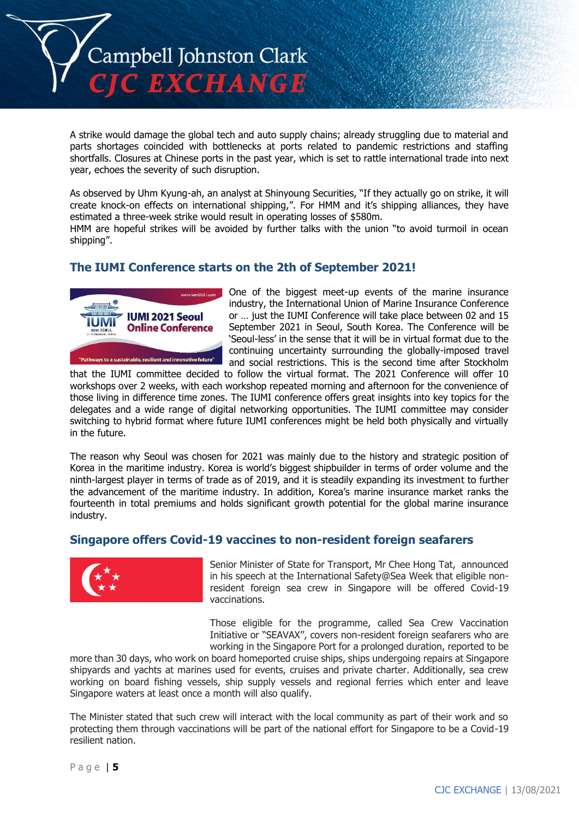

A strike would damage the global tech and auto supply chains; already struggling due to material and parts shortages coincided with bottlenecks at ports related to pandemic restrictions and staffing shortfalls. Closures at Chinese ports in the past year, which is set to rattle international trade into next year, echoes the severity of such disruption.

As observed by Uhm Kyung-ah, an analyst at Shinyoung Securities, "If they actually go on strike, it will create knock-on effects on international shipping,". For HMM and it's shipping alliances, they have estimated a three-week strike would result in operating losses of \$580m.

HMM are hopeful strikes will be avoided by further talks with the union "to avoid turmoil in ocean shipping".

# **The IUMI Conference starts on the 2th of September 2021!**



One of the biggest meet-up events of the marine insurance industry, the International Union of Marine Insurance Conference or … just the IUMI Conference will take place between 02 and 15 September 2021 in Seoul, South Korea. The Conference will be 'Seoul-less' in the sense that it will be in virtual format due to the continuing uncertainty surrounding the globally-imposed travel and social restrictions. This is the second time after Stockholm

that the IUMI committee decided to follow the virtual format. The 2021 Conference will offer 10 workshops over 2 weeks, with each workshop repeated morning and afternoon for the convenience of those living in difference time zones. The IUMI conference offers great insights into key topics for the delegates and a wide range of digital networking opportunities. The IUMI committee may consider switching to hybrid format where future IUMI conferences might be held both physically and virtually in the future.

The reason why Seoul was chosen for 2021 was mainly due to the history and strategic position of Korea in the maritime industry. Korea is world's biggest shipbuilder in terms of order volume and the ninth-largest player in terms of trade as of 2019, and it is steadily expanding its investment to further the advancement of the maritime industry. In addition, Korea's marine insurance market ranks the fourteenth in total premiums and holds significant growth potential for the global marine insurance industry.

## **Singapore offers Covid-19 vaccines to non-resident foreign seafarers**



Senior Minister of State for Transport, Mr Chee Hong Tat, announced in his speech at the International Safety@Sea Week that eligible nonresident foreign sea crew in Singapore will be offered Covid-19 vaccinations.

Those eligible for the programme, called Sea Crew Vaccination Initiative or "SEAVAX", covers non-resident foreign seafarers who are working in the Singapore Port for a prolonged duration, reported to be

more than 30 days, who work on board homeported cruise ships, ships undergoing repairs at Singapore shipyards and yachts at marines used for events, cruises and private charter. Additionally, sea crew working on board fishing vessels, ship supply vessels and regional ferries which enter and leave Singapore waters at least once a month will also qualify.

The Minister stated that such crew will interact with the local community as part of their work and so protecting them through vaccinations will be part of the national effort for Singapore to be a Covid-19 resilient nation.